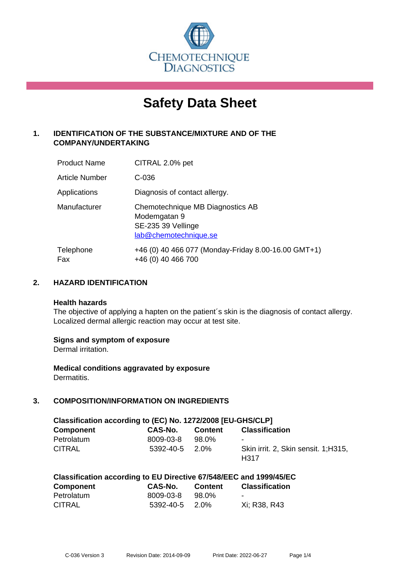

# **Safety Data Sheet**

# **1. IDENTIFICATION OF THE SUBSTANCE/MIXTURE AND OF THE COMPANY/UNDERTAKING**

| <b>Product Name</b> | CITRAL 2.0% pet                                                                                 |
|---------------------|-------------------------------------------------------------------------------------------------|
| Article Number      | C-036                                                                                           |
| Applications        | Diagnosis of contact allergy.                                                                   |
| Manufacturer        | Chemotechnique MB Diagnostics AB<br>Modemgatan 9<br>SE-235 39 Vellinge<br>lab@chemotechnique.se |
| Telephone<br>Fax    | +46 (0) 40 466 077 (Monday-Friday 8.00-16.00 GMT+1)<br>+46 (0) 40 466 700                       |

## **2. HAZARD IDENTIFICATION**

#### **Health hazards**

The objective of applying a hapten on the patient's skin is the diagnosis of contact allergy. Localized dermal allergic reaction may occur at test site.

## **Signs and symptom of exposure**

Dermal irritation.

**Medical conditions aggravated by exposure** Dermatitis.

# **3. COMPOSITION/INFORMATION ON INGREDIENTS**

| Classification according to (EC) No. 1272/2008 [EU-GHS/CLP] |                      |         |                                              |
|-------------------------------------------------------------|----------------------|---------|----------------------------------------------|
| <b>Component</b>                                            | CAS-No.              | Content | <b>Classification</b>                        |
| Petrolatum                                                  | 8009-03-8            | 98.0%   |                                              |
| CITRAL                                                      | $5392 - 40 - 5$ 2.0% |         | Skin irrit. 2, Skin sensit. 1; H315,<br>H317 |

| Classification according to EU Directive 67/548/EEC and 1999/45/EC |  |  |  |
|--------------------------------------------------------------------|--|--|--|
|--------------------------------------------------------------------|--|--|--|

| <b>Component</b> | <b>CAS-No.</b> | <b>Content</b> | <b>Classification</b> |
|------------------|----------------|----------------|-----------------------|
| Petrolatum       | 8009-03-8      | 98.0%          | $\sim$                |
| <b>CITRAL</b>    | 5392-40-5 2.0% |                | Xi; R38, R43          |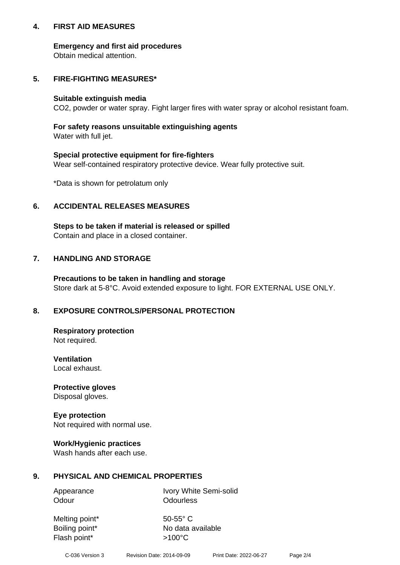## **4. FIRST AID MEASURES**

## **Emergency and first aid procedures**

Obtain medical attention.

# **5. FIRE-FIGHTING MEASURES\***

#### **Suitable extinguish media**

CO2, powder or water spray. Fight larger fires with water spray or alcohol resistant foam.

# **For safety reasons unsuitable extinguishing agents**

Water with full jet.

## **Special protective equipment for fire-fighters**

Wear self-contained respiratory protective device. Wear fully protective suit.

\*Data is shown for petrolatum only

## **6. ACCIDENTAL RELEASES MEASURES**

**Steps to be taken if material is released or spilled** Contain and place in a closed container.

# **7. HANDLING AND STORAGE**

**Precautions to be taken in handling and storage** Store dark at 5-8°C. Avoid extended exposure to light. FOR EXTERNAL USE ONLY.

# **8. EXPOSURE CONTROLS/PERSONAL PROTECTION**

**Respiratory protection** Not required.

**Ventilation** Local exhaust.

**Protective gloves** Disposal gloves.

#### **Eye protection** Not required with normal use.

## **Work/Hygienic practices**

Wash hands after each use.

## **9. PHYSICAL AND CHEMICAL PROPERTIES**

Odour **Odourless** 

Appearance Ivory White Semi-solid

Melting point\* 50-55° C Flash point\*  $>100^{\circ}$ C

Boiling point\* No data available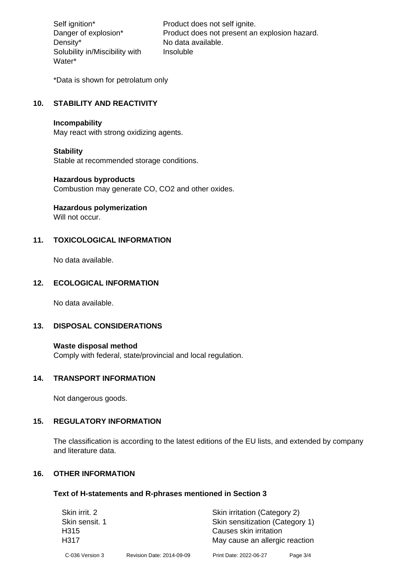Density\* No data available. Solubility in/Miscibility with Water\*

Self ignition\* Product does not self ignite. Danger of explosion\* Product does not present an explosion hazard. Insoluble

\*Data is shown for petrolatum only

# **10. STABILITY AND REACTIVITY**

#### **Incompability**

May react with strong oxidizing agents.

#### **Stability**

Stable at recommended storage conditions.

#### **Hazardous byproducts**

Combustion may generate CO, CO2 and other oxides.

**Hazardous polymerization**

Will not occur.

## **11. TOXICOLOGICAL INFORMATION**

No data available.

## **12. ECOLOGICAL INFORMATION**

No data available.

## **13. DISPOSAL CONSIDERATIONS**

#### **Waste disposal method**

Comply with federal, state/provincial and local regulation.

#### **14. TRANSPORT INFORMATION**

Not dangerous goods.

# **15. REGULATORY INFORMATION**

The classification is according to the latest editions of the EU lists, and extended by company and literature data.

#### **16. OTHER INFORMATION**

#### **Text of H-statements and R-phrases mentioned in Section 3**

| Skin irrit. 2    |                           | Skin irritation (Category 2)    |          |
|------------------|---------------------------|---------------------------------|----------|
| Skin sensit. 1   |                           | Skin sensitization (Category 1) |          |
| H <sub>315</sub> |                           | Causes skin irritation          |          |
| H317             |                           | May cause an allergic reaction  |          |
| C-036 Version 3  | Revision Date: 2014-09-09 | Print Date: 2022-06-27          | Page 3/4 |